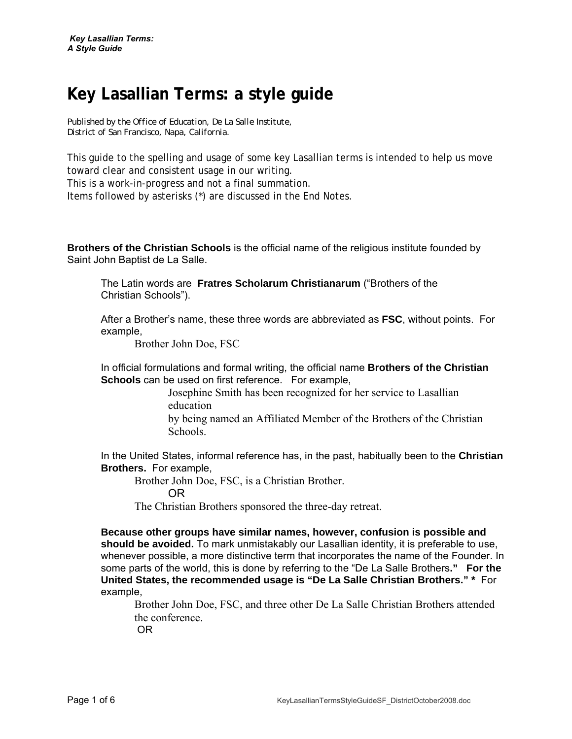# **Key Lasallian Terms: a style guide**

*Published by the Office of Education, De La Salle Institute, District of San Francisco, Napa, California.* 

This guide to the spelling and usage of some key Lasallian terms is intended to help us move toward clear and consistent usage in our writing.

This is a work-in-progress and not a final summation.

Items followed by asterisks (\*) are discussed in the End Notes.

**Brothers of the Christian Schools** is the official name of the religious institute founded by Saint John Baptist de La Salle.

The Latin words are **Fratres Scholarum Christianarum** ("Brothers of the Christian Schools").

After a Brother's name, these three words are abbreviated as **FSC**, without points. For example,

Brother John Doe, FSC

In official formulations and formal writing, the official name **Brothers of the Christian Schools** can be used on first reference. For example,

> Josephine Smith has been recognized for her service to Lasallian education

by being named an Affiliated Member of the Brothers of the Christian Schools.

In the United States, informal reference has, in the past, habitually been to the **Christian Brothers.** For example,

Brother John Doe, FSC, is a Christian Brother.

OR

The Christian Brothers sponsored the three-day retreat.

**Because other groups have similar names, however, confusion is possible and should be avoided.** To mark unmistakably our Lasallian identity, it is preferable to use, whenever possible, a more distinctive term that incorporates the name of the Founder. In some parts of the world, this is done by referring to the "De La Salle Brothers**." For the United States, the recommended usage is "De La Salle Christian Brothers." \*** For example,

Brother John Doe, FSC, and three other De La Salle Christian Brothers attended the conference.

OR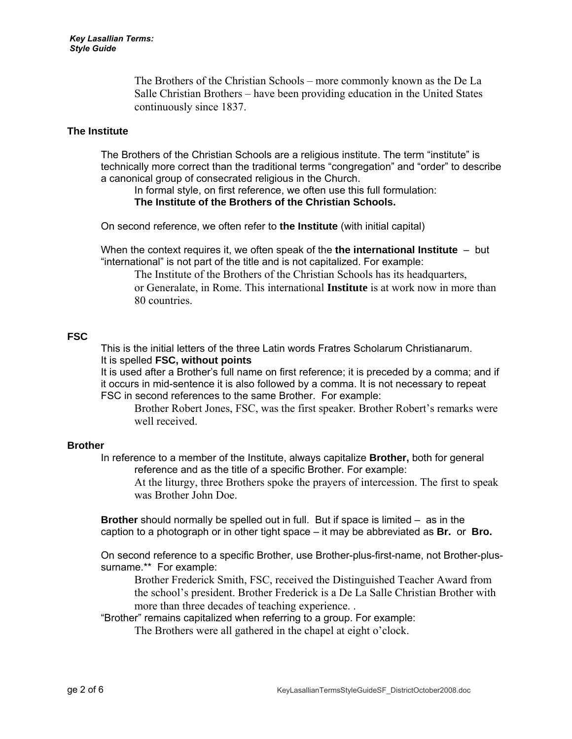The Brothers of the Christian Schools – more commonly known as the De La Salle Christian Brothers – have been providing education in the United States continuously since 1837.

#### **The Institute**

The Brothers of the Christian Schools are a religious institute. The term "institute" is technically more correct than the traditional terms "congregation" and "order" to describe a canonical group of consecrated religious in the Church.

In formal style, on first reference, we often use this full formulation: **The Institute of the Brothers of the Christian Schools.** 

On second reference, we often refer to **the Institute** (with initial capital)

When the context requires it, we often speak of the **the international Institute** – but "international" is not part of the title and is not capitalized. For example:

The Institute of the Brothers of the Christian Schools has its headquarters, or Generalate, in Rome. This international **Institute** is at work now in more than 80 countries.

## **FSC**

This is the initial letters of the three Latin words Fratres Scholarum Christianarum. It is spelled **FSC, without points**

It is used after a Brother's full name on first reference; it is preceded by a comma; and if it occurs in mid-sentence it is also followed by a comma. It is not necessary to repeat FSC in second references to the same Brother. For example:

Brother Robert Jones, FSC, was the first speaker. Brother Robert's remarks were well received.

## **Brother**

In reference to a member of the Institute, always capitalize **Brother,** both for general reference and as the title of a specific Brother. For example:

At the liturgy, three Brothers spoke the prayers of intercession. The first to speak was Brother John Doe.

**Brother** should normally be spelled out in full. But if space is limited – as in the caption to a photograph or in other tight space – it may be abbreviated as **Br.** or **Bro.**

On second reference to a specific Brother, use Brother-plus-first-name, not Brother-plussurname.\*\* For example:

Brother Frederick Smith, FSC, received the Distinguished Teacher Award from the school's president. Brother Frederick is a De La Salle Christian Brother with more than three decades of teaching experience. .

"Brother" remains capitalized when referring to a group. For example:

The Brothers were all gathered in the chapel at eight o'clock.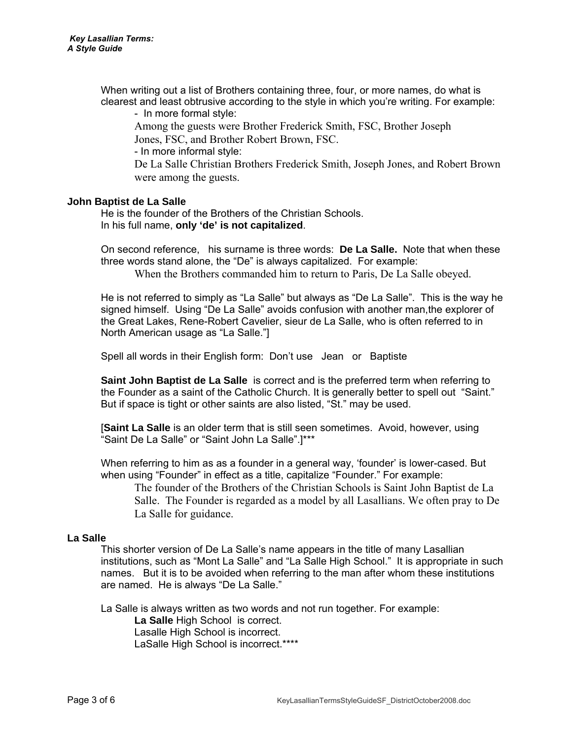When writing out a list of Brothers containing three, four, or more names, do what is clearest and least obtrusive according to the style in which you're writing. For example:

- In more formal style:

Among the guests were Brother Frederick Smith, FSC, Brother Joseph Jones, FSC, and Brother Robert Brown, FSC.

- In more informal style:

De La Salle Christian Brothers Frederick Smith, Joseph Jones, and Robert Brown were among the guests.

## **John Baptist de La Salle**

 He is the founder of the Brothers of the Christian Schools. In his full name, **only 'de' is not capitalized**.

On second reference, his surname is three words: **De La Salle.** Note that when these three words stand alone, the "De" is always capitalized. For example:

When the Brothers commanded him to return to Paris, De La Salle obeyed.

He is not referred to simply as "La Salle" but always as "De La Salle". This is the way he signed himself. Using "De La Salle" avoids confusion with another man,the explorer of the Great Lakes, Rene-Robert Cavelier, sieur de La Salle, who is often referred to in North American usage as "La Salle."]

Spell all words in their English form: Don't use Jean or Baptiste

**Saint John Baptist de La Salle** is correct and is the preferred term when referring to the Founder as a saint of the Catholic Church. It is generally better to spell out "Saint." But if space is tight or other saints are also listed, "St." may be used.

[**Saint La Salle** is an older term that is still seen sometimes. Avoid, however, using "Saint De La Salle" or "Saint John La Salle".]\*\*\*

When referring to him as as a founder in a general way, 'founder' is lower-cased. But when using "Founder" in effect as a title, capitalize "Founder." For example:

The founder of the Brothers of the Christian Schools is Saint John Baptist de La Salle. The Founder is regarded as a model by all Lasallians. We often pray to De La Salle for guidance.

## **La Salle**

This shorter version of De La Salle's name appears in the title of many Lasallian institutions, such as "Mont La Salle" and "La Salle High School." It is appropriate in such names. But it is to be avoided when referring to the man after whom these institutions are named. He is always "De La Salle."

La Salle is always written as two words and not run together. For example:

 **La Salle** High School is correct. Lasalle High School is incorrect. LaSalle High School is incorrect.\*\*\*\*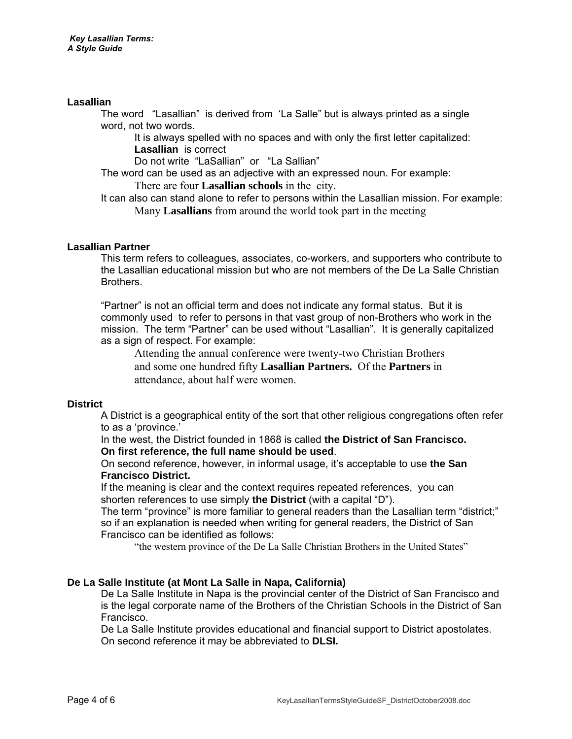## **Lasallian**

The word "Lasallian" is derived from 'La Salle" but is always printed as a single word, not two words.

It is always spelled with no spaces and with only the first letter capitalized: **Lasallian** is correct

Do not write "LaSallian" or "La Sallian"

The word can be used as an adjective with an expressed noun. For example:

There are four **Lasallian schools** in the city.

It can also can stand alone to refer to persons within the Lasallian mission. For example: Many **Lasallians** from around the world took part in the meeting

## **Lasallian Partner**

This term refers to colleagues, associates, co-workers, and supporters who contribute to the Lasallian educational mission but who are not members of the De La Salle Christian **Brothers** 

"Partner" is not an official term and does not indicate any formal status. But it is commonly used to refer to persons in that vast group of non-Brothers who work in the mission. The term "Partner" can be used without "Lasallian". It is generally capitalized as a sign of respect. For example:

Attending the annual conference were twenty-two Christian Brothers and some one hundred fifty **Lasallian Partners.** Of the **Partners** in attendance, about half were women.

## **District**

A District is a geographical entity of the sort that other religious congregations often refer to as a 'province.'

In the west, the District founded in 1868 is called **the District of San Francisco. On first reference, the full name should be used**.

On second reference, however, in informal usage, it's acceptable to use **the San Francisco District.** 

If the meaning is clear and the context requires repeated references, you can shorten references to use simply **the District** (with a capital "D").

The term "province" is more familiar to general readers than the Lasallian term "district;" so if an explanation is needed when writing for general readers, the District of San Francisco can be identified as follows:

"the western province of the De La Salle Christian Brothers in the United States"

## **De La Salle Institute (at Mont La Salle in Napa, California)**

De La Salle Institute in Napa is the provincial center of the District of San Francisco and is the legal corporate name of the Brothers of the Christian Schools in the District of San Francisco.

De La Salle Institute provides educational and financial support to District apostolates. On second reference it may be abbreviated to **DLSI.**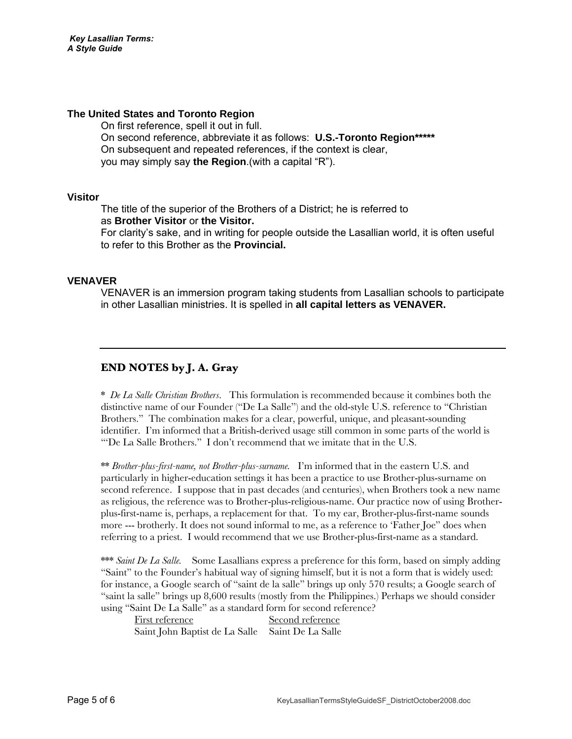## **The United States and Toronto Region**

 On first reference, spell it out in full. On second reference, abbreviate it as follows: **U.S.-Toronto Region\*\*\*\*\*** On subsequent and repeated references, if the context is clear, you may simply say **the Region**.(with a capital "R").

#### **Visitor**

The title of the superior of the Brothers of a District; he is referred to as **Brother Visitor** or **the Visitor.**  For clarity's sake, and in writing for people outside the Lasallian world, it is often useful to refer to this Brother as the **Provincial.** 

## **VENAVER**

VENAVER is an immersion program taking students from Lasallian schools to participate in other Lasallian ministries. It is spelled in **all capital letters as VENAVER.**

## **END NOTES by J. A. Gray**

\* *De La Salle Christian Brothers*. This formulation is recommended because it combines both the distinctive name of our Founder ("De La Salle") and the old-style U.S. reference to "Christian Brothers." The combination makes for a clear, powerful, unique, and pleasant-sounding identifier. I'm informed that a British-derived usage still common in some parts of the world is "'De La Salle Brothers." I don't recommend that we imitate that in the U.S.

\*\* *Brother-plus-first-name, not Brother-plus-surname.* I'm informed that in the eastern U.S. and particularly in higher-education settings it has been a practice to use Brother-plus-surname on second reference. I suppose that in past decades (and centuries), when Brothers took a new name as religious, the reference was to Brother-plus-religious-name. Our practice now of using Brotherplus-first-name is, perhaps, a replacement for that. To my ear, Brother-plus-first-name sounds more --- brotherly. It does not sound informal to me, as a reference to 'Father Joe" does when referring to a priest. I would recommend that we use Brother-plus-first-name as a standard.

\*\*\* *Saint De La Salle.* Some Lasallians express a preference for this form, based on simply adding "Saint" to the Founder's habitual way of signing himself, but it is not a form that is widely used: for instance, a Google search of "saint de la salle" brings up only 570 results; a Google search of "saint la salle" brings up 8,600 results (mostly from the Philippines.) Perhaps we should consider using "Saint De La Salle" as a standard form for second reference?

| First reference                                  | Second reference |
|--------------------------------------------------|------------------|
| Saint John Baptist de La Salle Saint De La Salle |                  |